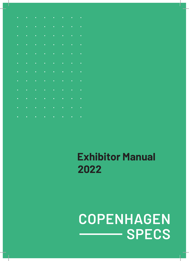# **COPENHAGEN SPECS**

### **Exhibitor Manual 2022**

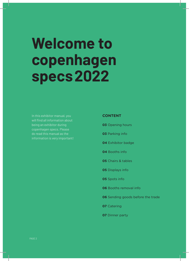## **Welcome to copenhagen specs 2022**

will find all information about copenhagen specs. Please do read this manual as the

#### **CONTENT**

**03** Opening hours

**03** Parking info

**04** Exhibitor badge

**04** Booths info

**05** Chairs & tables

**05** Displays info

**05** Spots info

**06** Booths removal info

**06** Sending goods before the trade

**07** Catering

**07** Dinner party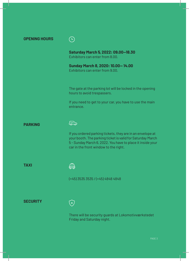|  |  |  | <b>OPENING HOURS</b> |  |
|--|--|--|----------------------|--|
|--|--|--|----------------------|--|



**Saturday March 5, 2022: 09.00—18.30** Exhibitors can enter from 8.00.

**Sunday March 8, 2020: 10.00— 14.00** Exhibitors can enter from 9.00.

The gate at the parking lot will be locked in the opening hours to avoid trespassers.

If you need to get to your car, you have to use the main entrance.

**PARKING**



If you ordered parking tickets, they are in an envelope at your booth. The parking ticket is valid for Saturday March 5 - Sunday March 6, 2022. You have to place it inside your car in the front window to the right.

**TAXI**



(+45) 3535 3535 / (+45) 4848 4848

**SECURITY**

 $\widehat{\left( \times \right)}$ 

There will be security guards at Lokomotivværkstedet Friday and Saturday night.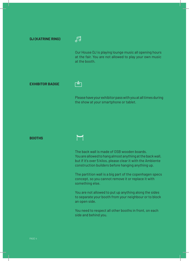**DJ (KATRINE RING)**



Our House DJ is playing lounge music all opening hours at the fair. You are not allowed to play your own music at the booth.

**EXHIBITOR BADGE**

#### ┎┹┑

Please have your exhibitor pass with you at all times during the show at your smartphone or tablet.

#### **BOOTHS**

#### from

The back wall is made of OSB wooden boards. You are allowed to hang almost anything at the back wall, but if it's over 5 kilos, please clear it with the Ambiente construction builders before hanging anything up.

The partition wall is a big part of the copenhagen specs concept, so you cannot remove it or replace it with something else.

You are not allowed to put up anything along the sides to separate your booth from your neighbour or to block an open side.

You need to respect all other booths in front, on each side and behind you.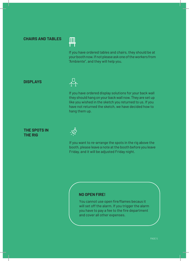#### **CHAIRS AND TABLES**



If you have ordered tables and chairs, they should be at your booth now. If not please ask one of the workers from "Ambiente", and they will help you.

#### **DISPLAYS**



If you have ordered display solutions for your back wall they should hang on your back wall now. They are set up like you wished in the sketch you returned to us. If you have not returned the sketch, we have decided how to hang them up.

#### **THE SPOTS IN THE RIG**



If you want to re-arrange the spots in the rig above the booth, please leave a note at the booth before you leave Friday, and it will be adjusted Friday night.

#### **NO OPEN FIRE!**

You cannot use open fire/flames becaus it will set off the alarm. If you trigger the alarm you have to pay a fee to the fire department and cover all other expenses.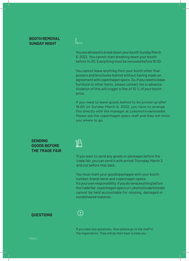#### **BOOTH REMOVAL SUNDAY NIGHT**

You are allowed to break down your booth Sunday March 6, 2022. You cannot start breaking down your booth before 14.00.Everythingmust be removed before 18.00.

You cannot leave anything from your booth other than posters and brochures behind without having made an agreement with copenhagen specs. So, if you need to leave furniture or other items, please contact me in advance. Violation of this will trigger a fine of 10 % of your booth price.

If you need to leave goods behind to be picked up after 18.00 on Sunday March 6, 2022, you have to arrange this directly with the manager at Lokomotivværkstedet. you where to go. Please ask the copenhagen specs staff and they will show

#### **SENDING GOODS BEFORE THE TRADE FAIR**



If you want to send any goods or packages before the trade fair, you can send it with arrival Thursday, March 3 and not before that date.

You must mark your goods/packages with your booth number, brand name and copenhagen specs. It's your own responsibility, if you do send anything before thetradefair.copenhagenspecsorLokomotivværkstedet cannot be held accountable for missing, damaged or nondelivered material.

#### **QUESTIONS**



If you have any questions, then please go to the staff in the registration. They will do their best to help you.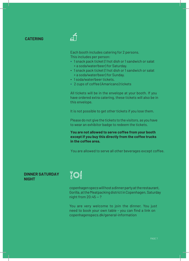#### **CATERING**

Each booth includes catering for 2 persons. This includes per person:

- 1 snack pack ticket (1 hot dish or 1 sandwich or salat + a soda/water/beer) for Saturday.
- 1 snack pack ticket (1 hot dish or 1 sandwich or salat + a soda/water/beer) for Sunday.
- 1 soda/water/beer tickets.
- 2 cups of coffee (Amaricano) tickets

All tickets will be in the envelope at your booth. If you have ordered extra catering, these tickets will also be in this envelope.

It is not possible to get other tickets if you lose them.

Please do not give the tickets to the visitors, as you have to wear an exhibitor badge to redeem the tickets.

**You are not allowed to serve coffee from your booth except if you buy this directly from the coffee trucks in the coffee area.**

You are allowed to serve all other beverages except coffee.

#### **DINNER SATURDAY NIGHT**



copenhagenspecswillhostadinnerpartyattherestaurant, Gorilla,attheMeatpackingdistrictinCopenhagen,Saturday night from  $20:45 - ?$ 

You are very welcome to join the dinner. You just need to book your own table - you can find a link on copenhagenspecs.dk/general-information